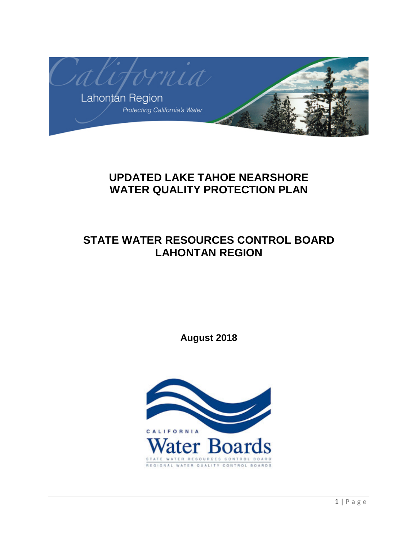

# **UPDATED LAKE TAHOE NEARSHORE WATER QUALITY PROTECTION PLAN**

# **STATE WATER RESOURCES CONTROL BOARD LAHONTAN REGION**

**August 2018**

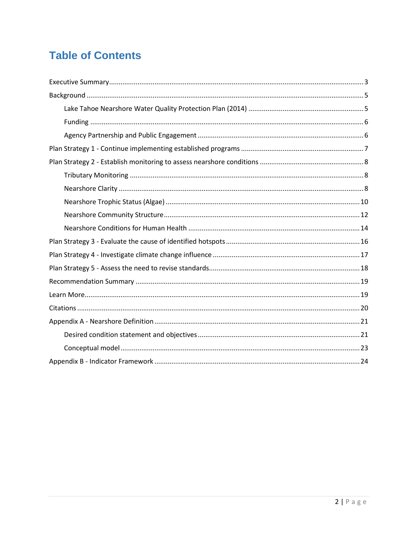# **Table of Contents**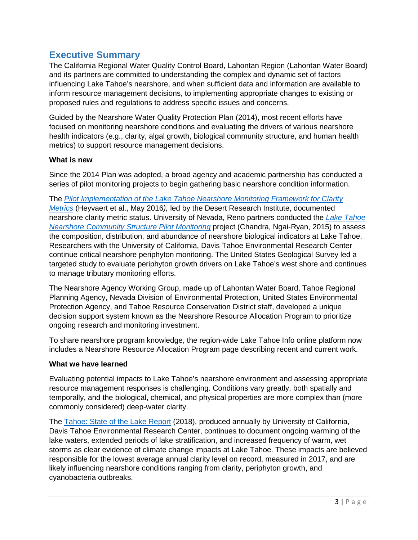# <span id="page-2-0"></span>**Executive Summary**

The California Regional Water Quality Control Board, Lahontan Region (Lahontan Water Board) and its partners are committed to understanding the complex and dynamic set of factors influencing Lake Tahoe's nearshore, and when sufficient data and information are available to inform resource management decisions, to implementing appropriate changes to existing or proposed rules and regulations to address specific issues and concerns.

Guided by the Nearshore Water Quality Protection Plan (2014), most recent efforts have focused on monitoring nearshore conditions and evaluating the drivers of various nearshore health indicators (e.g., clarity, algal growth, biological community structure, and human health metrics) to support resource management decisions.

### **What is new**

Since the 2014 Plan was adopted, a broad agency and academic partnership has conducted a series of pilot monitoring projects to begin gathering basic nearshore condition information.

The *[Pilot Implementation of the Lake Tahoe Nearshore Monitoring Framework for](https://monitoring.laketahoeinfo.org/FileResource/DisplayResource/17d6c4db-dcde-443f-b642-62977c69dc97) Clarity [Metrics](https://monitoring.laketahoeinfo.org/FileResource/DisplayResource/17d6c4db-dcde-443f-b642-62977c69dc97)* (Heyvaert et al., May 2016*),* led by the Desert Research Institute, documented nearshore clarity metric status. University of Nevada, Reno partners conducted the *[Lake Tahoe](https://laketahoeinfo.org/FileResource/DisplayResource/db3ab9cb-9fd1-4ed3-936f-06362b2a0f32)  [Nearshore Community Structure Pilot Monitoring](https://laketahoeinfo.org/FileResource/DisplayResource/db3ab9cb-9fd1-4ed3-936f-06362b2a0f32)* project (Chandra, Ngai-Ryan, 2015) to assess the composition, distribution, and abundance of nearshore biological indicators at Lake Tahoe. Researchers with the University of California, Davis Tahoe Environmental Research Center continue critical nearshore periphyton monitoring. The United States Geological Survey led a targeted study to evaluate periphyton growth drivers on Lake Tahoe's west shore and continues

to manage tributary monitoring efforts.

The Nearshore Agency Working Group, made up of Lahontan Water Board, Tahoe Regional Planning Agency, Nevada Division of Environmental Protection, United States Environmental Protection Agency, and Tahoe Resource Conservation District staff, developed a unique decision support system known as the Nearshore Resource Allocation Program to prioritize ongoing research and monitoring investment.

To share nearshore program knowledge, the region-wide Lake Tahoe Info online platform now includes a Nearshore Resource Allocation Program page describing recent and current work.

#### **What we have learned**

Evaluating potential impacts to Lake Tahoe's nearshore environment and assessing appropriate resource management responses is challenging. Conditions vary greatly, both spatially and temporally, and the biological, chemical, and physical properties are more complex than (more commonly considered) deep-water clarity.

The [Tahoe: State of the Lake Report](http://terc.ucdavis.edu/stateofthelake/) (2018), produced annually by University of California, Davis Tahoe Environmental Research Center, continues to document ongoing warming of the lake waters, extended periods of lake stratification, and increased frequency of warm, wet storms as clear evidence of climate change impacts at Lake Tahoe. These impacts are believed responsible for the lowest average annual clarity level on record, measured in 2017, and are likely influencing nearshore conditions ranging from clarity, periphyton growth, and cyanobacteria outbreaks.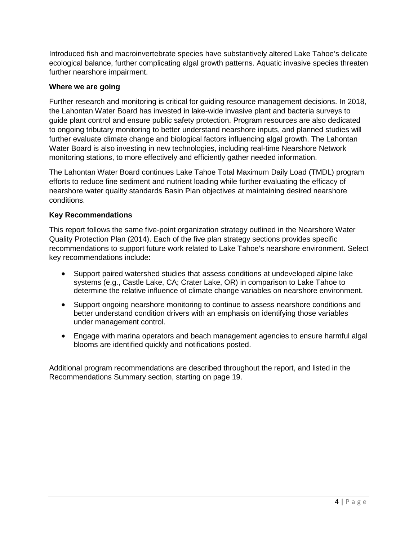Introduced fish and macroinvertebrate species have substantively altered Lake Tahoe's delicate ecological balance, further complicating algal growth patterns. Aquatic invasive species threaten further nearshore impairment.

#### **Where we are going**

Further research and monitoring is critical for guiding resource management decisions. In 2018, the Lahontan Water Board has invested in lake-wide invasive plant and bacteria surveys to guide plant control and ensure public safety protection. Program resources are also dedicated to ongoing tributary monitoring to better understand nearshore inputs, and planned studies will further evaluate climate change and biological factors influencing algal growth. The Lahontan Water Board is also investing in new technologies, including real-time Nearshore Network monitoring stations, to more effectively and efficiently gather needed information.

The Lahontan Water Board continues Lake Tahoe Total Maximum Daily Load (TMDL) program efforts to reduce fine sediment and nutrient loading while further evaluating the efficacy of nearshore water quality standards Basin Plan objectives at maintaining desired nearshore conditions.

### **Key Recommendations**

This report follows the same five-point organization strategy outlined in the Nearshore Water Quality Protection Plan (2014). Each of the five plan strategy sections provides specific recommendations to support future work related to Lake Tahoe's nearshore environment. Select key recommendations include:

- Support paired watershed studies that assess conditions at undeveloped alpine lake systems (e.g., Castle Lake, CA; Crater Lake, OR) in comparison to Lake Tahoe to determine the relative influence of climate change variables on nearshore environment.
- Support ongoing nearshore monitoring to continue to assess nearshore conditions and better understand condition drivers with an emphasis on identifying those variables under management control.
- Engage with marina operators and beach management agencies to ensure harmful algal blooms are identified quickly and notifications posted.

Additional program recommendations are described throughout the report, and listed in the Recommendations Summary section, starting on page 19.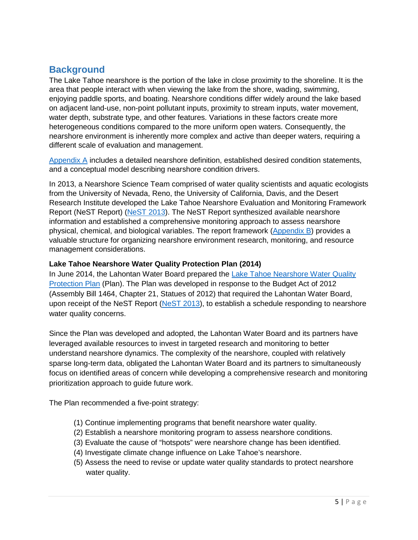# <span id="page-4-0"></span>**Background**

The Lake Tahoe nearshore is the portion of the lake in close proximity to the shoreline. It is the area that people interact with when viewing the lake from the shore, wading, swimming, enjoying paddle sports, and boating. Nearshore conditions differ widely around the lake based on adjacent land-use, non-point pollutant inputs, proximity to stream inputs, water movement, water depth, substrate type, and other features. Variations in these factors create more heterogeneous conditions compared to the more uniform open waters. Consequently, the nearshore environment is inherently more complex and active than deeper waters, requiring a different scale of evaluation and management.

[Appendix A](#page-19-1) includes a detailed nearshore definition, established desired condition statements, and a conceptual model describing nearshore condition drivers.

In 2013, a Nearshore Science Team comprised of water quality scientists and aquatic ecologists from the University of Nevada, Reno, the University of California, Davis, and the Desert Research Institute developed the Lake Tahoe Nearshore Evaluation and Monitoring Framework Report (NeST Report) [\(NeST 2013\)](http://www.dri.edu/images/stories/centers/cwes/Lake_Tahoe_Nearshore_Evaluation_and_Monitoring_Framework.pdf). The NeST Report synthesized available nearshore information and established a comprehensive monitoring approach to assess nearshore physical, chemical, and biological variables. The report framework  $(Appendix B)$  provides a valuable structure for organizing nearshore environment research, monitoring, and resource management considerations.

### <span id="page-4-1"></span>**Lake Tahoe Nearshore Water Quality Protection Plan (2014)**

In June 2014, the Lahontan Water Board prepared the [Lake Tahoe Nearshore Water Quality](https://www.waterboards.ca.gov/lahontan/water_issues/programs/lake_tahoe/nearshore/doc/rb6nswqpp_jun13.pdf)  [Protection Plan](https://www.waterboards.ca.gov/lahontan/water_issues/programs/lake_tahoe/nearshore/doc/rb6nswqpp_jun13.pdf) (Plan). The Plan was developed in response to the Budget Act of 2012 (Assembly Bill 1464, Chapter 21, Statues of 2012) that required the Lahontan Water Board, upon receipt of the NeST Report [\(NeST 2013\)](http://www.dri.edu/images/stories/centers/cwes/Lake_Tahoe_Nearshore_Evaluation_and_Monitoring_Framework.pdf), to establish a schedule responding to nearshore water quality concerns.

Since the Plan was developed and adopted, the Lahontan Water Board and its partners have leveraged available resources to invest in targeted research and monitoring to better understand nearshore dynamics. The complexity of the nearshore, coupled with relatively sparse long-term data, obligated the Lahontan Water Board and its partners to simultaneously focus on identified areas of concern while developing a comprehensive research and monitoring prioritization approach to guide future work.

The Plan recommended a five-point strategy:

- (1) Continue implementing programs that benefit nearshore water quality.
- (2) Establish a nearshore monitoring program to assess nearshore conditions.
- (3) Evaluate the cause of "hotspots" were nearshore change has been identified.
- (4) Investigate climate change influence on Lake Tahoe's nearshore.
- (5) Assess the need to revise or update water quality standards to protect nearshore water quality.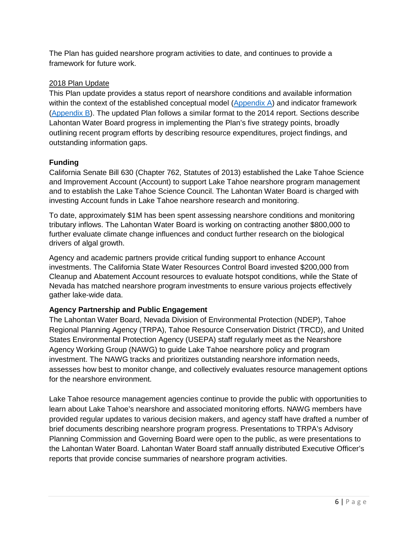The Plan has guided nearshore program activities to date, and continues to provide a framework for future work.

### 2018 Plan Update

This Plan update provides a status report of nearshore conditions and available information within the context of the established conceptual model [\(Appendix A\)](#page-21-0) and indicator framework [\(Appendix B\)](#page-23-0). The updated Plan follows a similar format to the 2014 report. Sections describe Lahontan Water Board progress in implementing the Plan's five strategy points, broadly outlining recent program efforts by describing resource expenditures, project findings, and outstanding information gaps.

### <span id="page-5-0"></span>**Funding**

California Senate Bill 630 (Chapter 762, Statutes of 2013) established the Lake Tahoe Science and Improvement Account (Account) to support Lake Tahoe nearshore program management and to establish the Lake Tahoe Science Council. The Lahontan Water Board is charged with investing Account funds in Lake Tahoe nearshore research and monitoring.

To date, approximately \$1M has been spent assessing nearshore conditions and monitoring tributary inflows. The Lahontan Water Board is working on contracting another \$800,000 to further evaluate climate change influences and conduct further research on the biological drivers of algal growth.

Agency and academic partners provide critical funding support to enhance Account investments. The California State Water Resources Control Board invested \$200,000 from Cleanup and Abatement Account resources to evaluate hotspot conditions, while the State of Nevada has matched nearshore program investments to ensure various projects effectively gather lake-wide data.

# <span id="page-5-1"></span>**Agency Partnership and Public Engagement**

The Lahontan Water Board, Nevada Division of Environmental Protection (NDEP), Tahoe Regional Planning Agency (TRPA), Tahoe Resource Conservation District (TRCD), and United States Environmental Protection Agency (USEPA) staff regularly meet as the Nearshore Agency Working Group (NAWG) to guide Lake Tahoe nearshore policy and program investment. The NAWG tracks and prioritizes outstanding nearshore information needs, assesses how best to monitor change, and collectively evaluates resource management options for the nearshore environment.

Lake Tahoe resource management agencies continue to provide the public with opportunities to learn about Lake Tahoe's nearshore and associated monitoring efforts. NAWG members have provided regular updates to various decision makers, and agency staff have drafted a number of brief documents describing nearshore program progress. Presentations to TRPA's Advisory Planning Commission and Governing Board were open to the public, as were presentations to the Lahontan Water Board. Lahontan Water Board staff annually distributed Executive Officer's reports that provide concise summaries of nearshore program activities.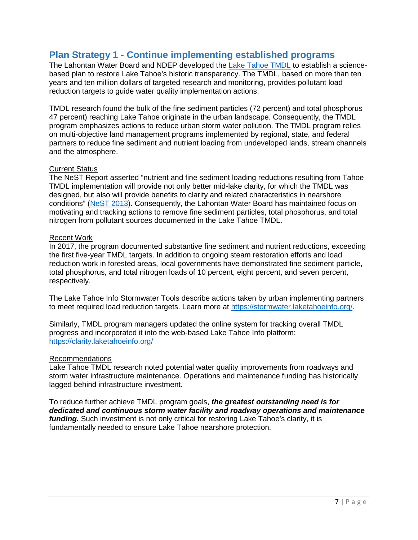# <span id="page-6-0"></span>**Plan Strategy 1 - Continue implementing established programs**

The Lahontan Water Board and NDEP developed the [Lake Tahoe TMDL](https://clarity.laketahoeinfo.org/) to establish a sciencebased plan to restore Lake Tahoe's historic transparency. The TMDL, based on more than ten years and ten million dollars of targeted research and monitoring, provides pollutant load reduction targets to guide water quality implementation actions.

TMDL research found the bulk of the fine sediment particles (72 percent) and total phosphorus 47 percent) reaching Lake Tahoe originate in the urban landscape. Consequently, the TMDL program emphasizes actions to reduce urban storm water pollution. The TMDL program relies on multi-objective land management programs implemented by regional, state, and federal partners to reduce fine sediment and nutrient loading from undeveloped lands, stream channels and the atmosphere.

#### Current Status

The NeST Report asserted "nutrient and fine sediment loading reductions resulting from Tahoe TMDL implementation will provide not only better mid-lake clarity, for which the TMDL was designed, but also will provide benefits to clarity and related characteristics in nearshore conditions" [\(NeST 2013\)](http://www.dri.edu/images/stories/centers/cwes/Lake_Tahoe_Nearshore_Evaluation_and_Monitoring_Framework.pdf). Consequently, the Lahontan Water Board has maintained focus on motivating and tracking actions to remove fine sediment particles, total phosphorus, and total nitrogen from pollutant sources documented in the Lake Tahoe TMDL.

#### Recent Work

In 2017, the program documented substantive fine sediment and nutrient reductions, exceeding the first five-year TMDL targets. In addition to ongoing steam restoration efforts and load reduction work in forested areas, local governments have demonstrated fine sediment particle, total phosphorus, and total nitrogen loads of 10 percent, eight percent, and seven percent, respectively.

The Lake Tahoe Info Stormwater Tools describe actions taken by urban implementing partners to meet required load reduction targets. Learn more at [https://stormwater.laketahoeinfo.org/.](https://stormwater.laketahoeinfo.org/)

Similarly, TMDL program managers updated the online system for tracking overall TMDL progress and incorporated it into the web-based Lake Tahoe Info platform: <https://clarity.laketahoeinfo.org/>

#### Recommendations

Lake Tahoe TMDL research noted potential water quality improvements from roadways and storm water infrastructure maintenance. Operations and maintenance funding has historically lagged behind infrastructure investment.

To reduce further achieve TMDL program goals, *the greatest outstanding need is for dedicated and continuous storm water facility and roadway operations and maintenance funding.* Such investment is not only critical for restoring Lake Tahoe's clarity, it is fundamentally needed to ensure Lake Tahoe nearshore protection.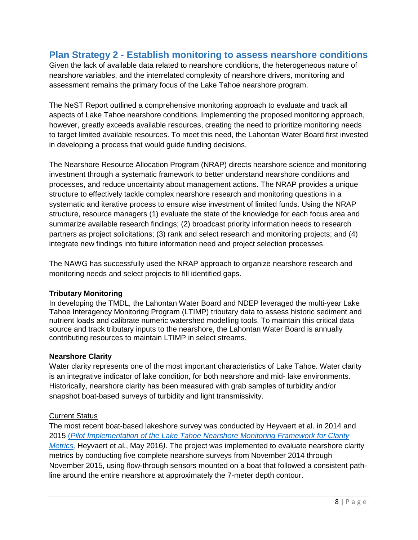# <span id="page-7-0"></span>**Plan Strategy 2 - Establish monitoring to assess nearshore conditions**

Given the lack of available data related to nearshore conditions, the heterogeneous nature of nearshore variables, and the interrelated complexity of nearshore drivers, monitoring and assessment remains the primary focus of the Lake Tahoe nearshore program.

The NeST Report outlined a comprehensive monitoring approach to evaluate and track all aspects of Lake Tahoe nearshore conditions. Implementing the proposed monitoring approach, however, greatly exceeds available resources, creating the need to prioritize monitoring needs to target limited available resources. To meet this need, the Lahontan Water Board first invested in developing a process that would guide funding decisions.

The Nearshore Resource Allocation Program (NRAP) directs nearshore science and monitoring investment through a systematic framework to better understand nearshore conditions and processes, and reduce uncertainty about management actions. The NRAP provides a unique structure to effectively tackle complex nearshore research and monitoring questions in a systematic and iterative process to ensure wise investment of limited funds. Using the NRAP structure, resource managers (1) evaluate the state of the knowledge for each focus area and summarize available research findings; (2) broadcast priority information needs to research partners as project solicitations; (3) rank and select research and monitoring projects; and (4) integrate new findings into future information need and project selection processes.

The NAWG has successfully used the NRAP approach to organize nearshore research and monitoring needs and select projects to fill identified gaps.

#### <span id="page-7-1"></span>**Tributary Monitoring**

In developing the TMDL, the Lahontan Water Board and NDEP leveraged the multi-year Lake Tahoe Interagency Monitoring Program (LTIMP) tributary data to assess historic sediment and nutrient loads and calibrate numeric watershed modelling tools. To maintain this critical data source and track tributary inputs to the nearshore, the Lahontan Water Board is annually contributing resources to maintain LTIMP in select streams.

#### <span id="page-7-2"></span>**Nearshore Clarity**

Water clarity represents one of the most important characteristics of Lake Tahoe. Water clarity is an integrative indicator of lake condition, for both nearshore and mid- lake environments. Historically, nearshore clarity has been measured with grab samples of turbidity and/or snapshot boat-based surveys of turbidity and light transmissivity.

# **Current Status**

The most recent boat-based lakeshore survey was conducted by Heyvaert et al. in 2014 and 2015 (*[Pilot Implementation of the Lake Tahoe Nearshore Monitoring Framework for Clarity](https://monitoring.laketahoeinfo.org/FileResource/DisplayResource/03219910-7172-421d-85a5-8cc7caf9e97a)  [Metrics,](https://monitoring.laketahoeinfo.org/FileResource/DisplayResource/03219910-7172-421d-85a5-8cc7caf9e97a)* Heyvaert et al., May 2016). The project was implemented to evaluate nearshore clarity metrics by conducting five complete nearshore surveys from November 2014 through November 2015, using flow-through sensors mounted on a boat that followed a consistent pathline around the entire nearshore at approximately the 7-meter depth contour.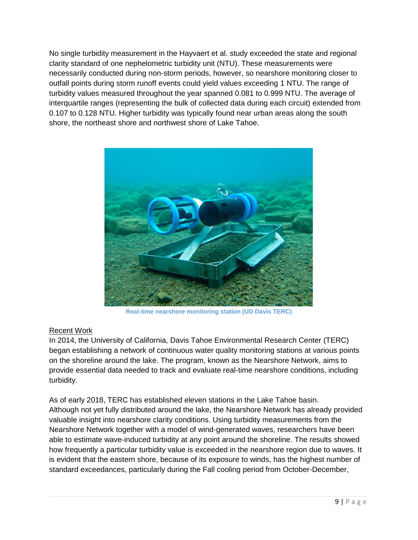No single turbidity measurement in the Hayvaert et al. study exceeded the state and regional clarity standard of one nephelometric turbidity unit (NTU). These measurements were necessarily conducted during non-storm periods, however, so nearshore monitoring closer to outfall points during storm runoff events could yield values exceeding 1 NTU. The range of turbidity values measured throughout the year spanned 0.081 to 0.999 NTU. The average of interquartile ranges (representing the bulk of collected data during each circuit) extended from 0.107 to 0.128 NTU. Higher turbidity was typically found near urban areas along the south shore, the northeast shore and northwest shore of Lake Tahoe.



**Real-time nearshore monitoring station (UD Davis TERC)**

# Recent Work

In 2014, the University of California, Davis Tahoe Environmental Research Center (TERC) began establishing a network of continuous water quality monitoring stations at various points on the shoreline around the lake. The program, known as the Nearshore Network, aims to provide essential data needed to track and evaluate real-time nearshore conditions, including turbidity.

As of early 2018, TERC has established eleven stations in the Lake Tahoe basin. Although not yet fully distributed around the lake, the Nearshore Network has already provided valuable insight into nearshore clarity conditions. Using turbidity measurements from the Nearshore Network together with a model of wind-generated waves, researchers have been able to estimate wave-induced turbidity at any point around the shoreline. The results showed how frequently a particular turbidity value is exceeded in the nearshore region due to waves. It is evident that the eastern shore, because of its exposure to winds, has the highest number of standard exceedances, particularly during the Fall cooling period from October-December,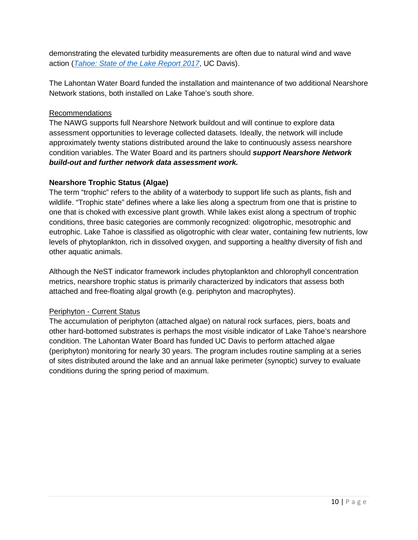demonstrating the elevated turbidity measurements are often due to natural wind and wave action (*[Tahoe: State of the Lake Report 2017](http://tahoe.ucdavis.edu/stateofthelake/sotl-reports/2017/6_recent%20research.pdf)*, UC Davis).

The Lahontan Water Board funded the installation and maintenance of two additional Nearshore Network stations, both installed on Lake Tahoe's south shore.

### Recommendations

The NAWG supports full Nearshore Network buildout and will continue to explore data assessment opportunities to leverage collected datasets. Ideally, the network will include approximately twenty stations distributed around the lake to continuously assess nearshore condition variables. The Water Board and its partners should *support Nearshore Network build-out and further network data assessment work.*

### <span id="page-9-0"></span>**Nearshore Trophic Status (Algae)**

The term "trophic" refers to the ability of a waterbody to support life such as plants, fish and wildlife. "Trophic state" defines where a lake lies along a spectrum from one that is pristine to one that is choked with excessive plant growth. While lakes exist along a spectrum of trophic conditions, three basic categories are commonly recognized: oligotrophic, mesotrophic and eutrophic. Lake Tahoe is classified as oligotrophic with clear water, containing few nutrients, low levels of phytoplankton, rich in dissolved oxygen, and supporting a healthy diversity of fish and other aquatic animals.

Although the NeST indicator framework includes phytoplankton and chlorophyll concentration metrics, nearshore trophic status is primarily characterized by indicators that assess both attached and free-floating algal growth (e.g. periphyton and macrophytes).

#### Periphyton - Current Status

The accumulation of periphyton (attached algae) on natural rock surfaces, piers, boats and other hard-bottomed substrates is perhaps the most visible indicator of Lake Tahoe's nearshore condition. The Lahontan Water Board has funded UC Davis to perform attached algae (periphyton) monitoring for nearly 30 years. The program includes routine sampling at a series of sites distributed around the lake and an annual lake perimeter (synoptic) survey to evaluate conditions during the spring period of maximum.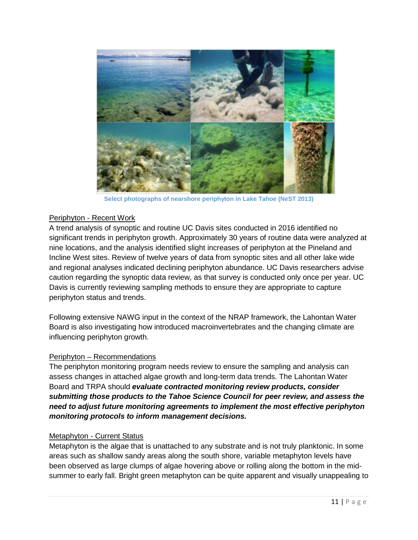

**Select photographs of nearshore periphyton in Lake Tahoe (NeST 2013)**

#### Periphyton - Recent Work

A trend analysis of synoptic and routine UC Davis sites conducted in 2016 identified no significant trends in periphyton growth. Approximately 30 years of routine data were analyzed at nine locations, and the analysis identified slight increases of periphyton at the Pineland and Incline West sites. Review of twelve years of data from synoptic sites and all other lake wide and regional analyses indicated declining periphyton abundance. UC Davis researchers advise caution regarding the synoptic data review, as that survey is conducted only once per year. UC Davis is currently reviewing sampling methods to ensure they are appropriate to capture periphyton status and trends.

Following extensive NAWG input in the context of the NRAP framework, the Lahontan Water Board is also investigating how introduced macroinvertebrates and the changing climate are influencing periphyton growth.

#### Periphyton – Recommendations

The periphyton monitoring program needs review to ensure the sampling and analysis can assess changes in attached algae growth and long-term data trends. The Lahontan Water Board and TRPA should *evaluate contracted monitoring review products, consider submitting those products to the Tahoe Science Council for peer review, and assess the need to adjust future monitoring agreements to implement the most effective periphyton monitoring protocols to inform management decisions.* 

#### Metaphyton - Current Status

Metaphyton is the algae that is unattached to any substrate and is not truly planktonic. In some areas such as shallow sandy areas along the south shore, variable metaphyton levels have been observed as large clumps of algae hovering above or rolling along the bottom in the midsummer to early fall. Bright green metaphyton can be quite apparent and visually unappealing to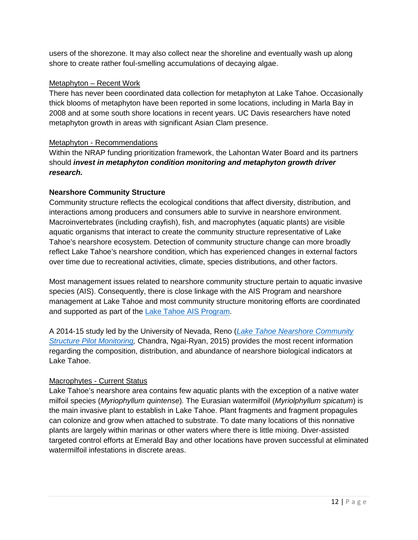users of the shorezone. It may also collect near the shoreline and eventually wash up along shore to create rather foul-smelling accumulations of decaying algae.

#### Metaphyton – Recent Work

There has never been coordinated data collection for metaphyton at Lake Tahoe. Occasionally thick blooms of metaphyton have been reported in some locations, including in Marla Bay in 2008 and at some south shore locations in recent years. UC Davis researchers have noted metaphyton growth in areas with significant Asian Clam presence.

### Metaphyton - Recommendations

Within the NRAP funding prioritization framework, the Lahontan Water Board and its partners should *invest in metaphyton condition monitoring and metaphyton growth driver research.*

### <span id="page-11-0"></span>**Nearshore Community Structure**

Community structure reflects the ecological conditions that affect diversity, distribution, and interactions among producers and consumers able to survive in nearshore environment. Macroinvertebrates (including crayfish), fish, and macrophytes (aquatic plants) are visible aquatic organisms that interact to create the community structure representative of Lake Tahoe's nearshore ecosystem. Detection of community structure change can more broadly reflect Lake Tahoe's nearshore condition, which has experienced changes in external factors over time due to recreational activities, climate, species distributions, and other factors.

Most management issues related to nearshore community structure pertain to aquatic invasive species (AIS). Consequently, there is close linkage with the AIS Program and nearshore management at Lake Tahoe and most community structure monitoring efforts are coordinated and supported as part of the [Lake Tahoe AIS Program.](http://www.trpa.org/programs/invasive-species/)

A 2014-15 study led by the University of Nevada, Reno (*[Lake Tahoe Nearshore Community](https://laketahoeinfo.org/FileResource/DisplayResource/db3ab9cb-9fd1-4ed3-936f-06362b2a0f32)  [Structure Pilot Monitoring,](https://laketahoeinfo.org/FileResource/DisplayResource/db3ab9cb-9fd1-4ed3-936f-06362b2a0f32)* Chandra, Ngai-Ryan, 2015) provides the most recent information regarding the composition, distribution, and abundance of nearshore biological indicators at Lake Tahoe.

# Macrophytes - Current Status

Lake Tahoe's nearshore area contains few aquatic plants with the exception of a native water milfoil species (*Myriophyllum quintense*)*.* The Eurasian watermilfoil (*Myriolphyllum spicatum*) is the main invasive plant to establish in Lake Tahoe. Plant fragments and fragment propagules can colonize and grow when attached to substrate. To date many locations of this nonnative plants are largely within marinas or other waters where there is little mixing. Diver-assisted targeted control efforts at Emerald Bay and other locations have proven successful at eliminated watermilfoil infestations in discrete areas.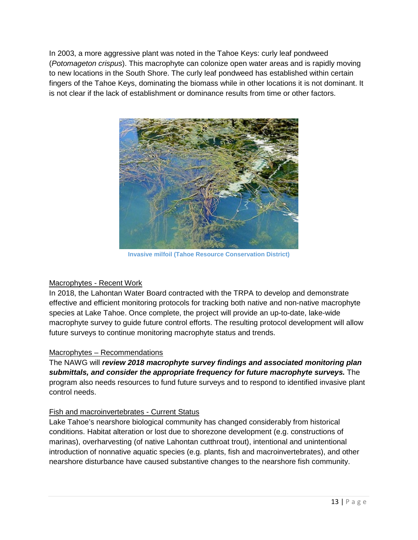In 2003, a more aggressive plant was noted in the Tahoe Keys: curly leaf pondweed (*Potomageton crispus*). This macrophyte can colonize open water areas and is rapidly moving to new locations in the South Shore. The curly leaf pondweed has established within certain fingers of the Tahoe Keys, dominating the biomass while in other locations it is not dominant. It is not clear if the lack of establishment or dominance results from time or other factors.



**Invasive milfoil (Tahoe Resource Conservation District)**

# Macrophytes - Recent Work

In 2018, the Lahontan Water Board contracted with the TRPA to develop and demonstrate effective and efficient monitoring protocols for tracking both native and non-native macrophyte species at Lake Tahoe. Once complete, the project will provide an up-to-date, lake-wide macrophyte survey to guide future control efforts. The resulting protocol development will allow future surveys to continue monitoring macrophyte status and trends.

# Macrophytes – Recommendations

The NAWG will *review 2018 macrophyte survey findings and associated monitoring plan submittals, and consider the appropriate frequency for future macrophyte surveys.* The program also needs resources to fund future surveys and to respond to identified invasive plant control needs.

# Fish and macroinvertebrates - Current Status

Lake Tahoe's nearshore biological community has changed considerably from historical conditions. Habitat alteration or lost due to shorezone development (e.g. constructions of marinas), overharvesting (of native Lahontan cutthroat trout), intentional and unintentional introduction of nonnative aquatic species (e.g. plants, fish and macroinvertebrates), and other nearshore disturbance have caused substantive changes to the nearshore fish community.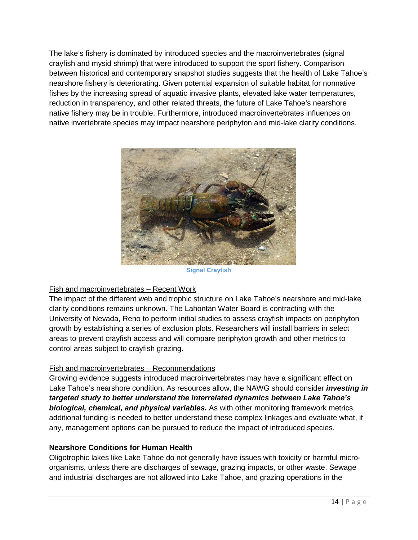The lake's fishery is dominated by introduced species and the macroinvertebrates (signal crayfish and mysid shrimp) that were introduced to support the sport fishery. Comparison between historical and contemporary snapshot studies suggests that the health of Lake Tahoe's nearshore fishery is deteriorating. Given potential expansion of suitable habitat for nonnative fishes by the increasing spread of aquatic invasive plants, elevated lake water temperatures, reduction in transparency, and other related threats, the future of Lake Tahoe's nearshore native fishery may be in trouble. Furthermore, introduced macroinvertebrates influences on native invertebrate species may impact nearshore periphyton and mid-lake clarity conditions.



**Signal Crayfish**

# Fish and macroinvertebrates – Recent Work

The impact of the different web and trophic structure on Lake Tahoe's nearshore and mid-lake clarity conditions remains unknown. The Lahontan Water Board is contracting with the University of Nevada, Reno to perform initial studies to assess crayfish impacts on periphyton growth by establishing a series of exclusion plots. Researchers will install barriers in select areas to prevent crayfish access and will compare periphyton growth and other metrics to control areas subject to crayfish grazing.

# Fish and macroinvertebrates – Recommendations

Growing evidence suggests introduced macroinvertebrates may have a significant effect on Lake Tahoe's nearshore condition. As resources allow, the NAWG should consider *investing in targeted study to better understand the interrelated dynamics between Lake Tahoe's biological, chemical, and physical variables.* As with other monitoring framework metrics, additional funding is needed to better understand these complex linkages and evaluate what, if any, management options can be pursued to reduce the impact of introduced species.

# <span id="page-13-0"></span>**Nearshore Conditions for Human Health**

Oligotrophic lakes like Lake Tahoe do not generally have issues with toxicity or harmful microorganisms, unless there are discharges of sewage, grazing impacts, or other waste. Sewage and industrial discharges are not allowed into Lake Tahoe, and grazing operations in the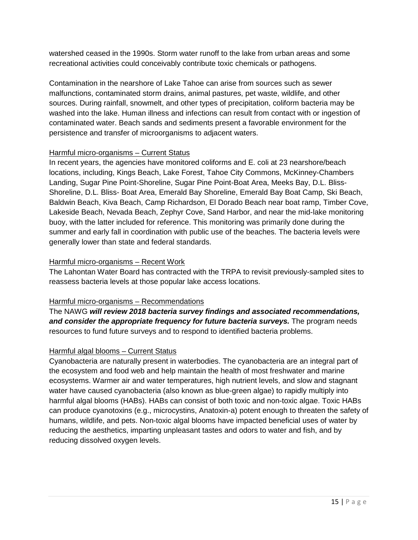watershed ceased in the 1990s. Storm water runoff to the lake from urban areas and some recreational activities could conceivably contribute toxic chemicals or pathogens.

Contamination in the nearshore of Lake Tahoe can arise from sources such as sewer malfunctions, contaminated storm drains, animal pastures, pet waste, wildlife, and other sources. During rainfall, snowmelt, and other types of precipitation, coliform bacteria may be washed into the lake. Human illness and infections can result from contact with or ingestion of contaminated water. Beach sands and sediments present a favorable environment for the persistence and transfer of microorganisms to adjacent waters.

#### Harmful micro-organisms – Current Status

In recent years, the agencies have monitored coliforms and E. coli at 23 nearshore/beach locations, including, Kings Beach, Lake Forest, Tahoe City Commons, McKinney-Chambers Landing, Sugar Pine Point-Shoreline, Sugar Pine Point-Boat Area, Meeks Bay, D.L. Bliss-Shoreline, D.L. Bliss- Boat Area, Emerald Bay Shoreline, Emerald Bay Boat Camp, Ski Beach, Baldwin Beach, Kiva Beach, Camp Richardson, El Dorado Beach near boat ramp, Timber Cove, Lakeside Beach, Nevada Beach, Zephyr Cove, Sand Harbor, and near the mid-lake monitoring buoy, with the latter included for reference. This monitoring was primarily done during the summer and early fall in coordination with public use of the beaches. The bacteria levels were generally lower than state and federal standards.

#### Harmful micro-organisms – Recent Work

The Lahontan Water Board has contracted with the TRPA to revisit previously-sampled sites to reassess bacteria levels at those popular lake access locations.

#### Harmful micro-organisms – Recommendations

The NAWG *will review 2018 bacteria survey findings and associated recommendations, and consider the appropriate frequency for future bacteria surveys.* The program needs resources to fund future surveys and to respond to identified bacteria problems.

# Harmful algal blooms – Current Status

Cyanobacteria are naturally present in waterbodies. The cyanobacteria are an integral part of the ecosystem and food web and help maintain the health of most freshwater and marine ecosystems. Warmer air and water temperatures, high nutrient levels, and slow and stagnant water have caused cyanobacteria (also known as blue-green algae) to rapidly multiply into harmful algal blooms (HABs). HABs can consist of both toxic and non-toxic algae. Toxic HABs can produce cyanotoxins (e.g., microcystins, Anatoxin-a) potent enough to threaten the safety of humans, wildlife, and pets. Non-toxic algal blooms have impacted beneficial uses of water by reducing the aesthetics, imparting unpleasant tastes and odors to water and fish, and by reducing dissolved oxygen levels.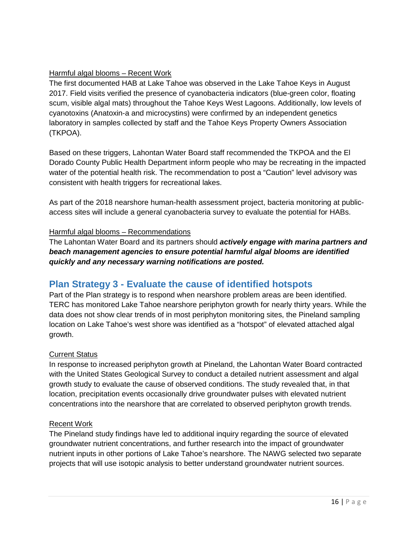# Harmful algal blooms – Recent Work

The first documented HAB at Lake Tahoe was observed in the Lake Tahoe Keys in August 2017. Field visits verified the presence of cyanobacteria indicators (blue-green color, floating scum, visible algal mats) throughout the Tahoe Keys West Lagoons. Additionally, low levels of cyanotoxins (Anatoxin-a and microcystins) were confirmed by an independent genetics laboratory in samples collected by staff and the Tahoe Keys Property Owners Association (TKPOA).

Based on these triggers, Lahontan Water Board staff recommended the TKPOA and the El Dorado County Public Health Department inform people who may be recreating in the impacted water of the potential health risk. The recommendation to post a "Caution" level advisory was consistent with health triggers for recreational lakes.

As part of the 2018 nearshore human-health assessment project, bacteria monitoring at publicaccess sites will include a general cyanobacteria survey to evaluate the potential for HABs.

# Harmful algal blooms – Recommendations

The Lahontan Water Board and its partners should *actively engage with marina partners and beach management agencies to ensure potential harmful algal blooms are identified quickly and any necessary warning notifications are posted.*

# <span id="page-15-0"></span>**Plan Strategy 3 - Evaluate the cause of identified hotspots**

Part of the Plan strategy is to respond when nearshore problem areas are been identified. TERC has monitored Lake Tahoe nearshore periphyton growth for nearly thirty years. While the data does not show clear trends of in most periphyton monitoring sites, the Pineland sampling location on Lake Tahoe's west shore was identified as a "hotspot" of elevated attached algal growth.

# Current Status

In response to increased periphyton growth at Pineland, the Lahontan Water Board contracted with the United States Geological Survey to conduct a detailed nutrient assessment and algal growth study to evaluate the cause of observed conditions. The study revealed that, in that location, precipitation events occasionally drive groundwater pulses with elevated nutrient concentrations into the nearshore that are correlated to observed periphyton growth trends.

# Recent Work

The Pineland study findings have led to additional inquiry regarding the source of elevated groundwater nutrient concentrations, and further research into the impact of groundwater nutrient inputs in other portions of Lake Tahoe's nearshore. The NAWG selected two separate projects that will use isotopic analysis to better understand groundwater nutrient sources.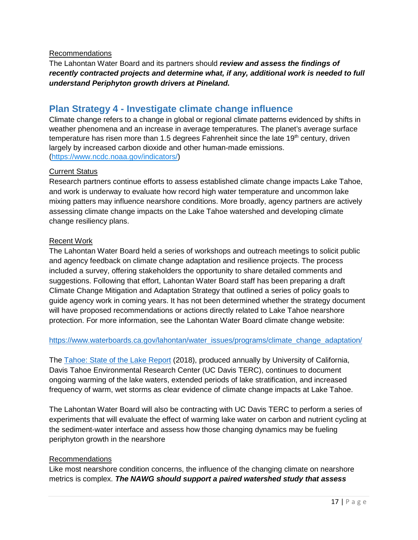#### Recommendations

The Lahontan Water Board and its partners should *review and assess the findings of recently contracted projects and determine what, if any, additional work is needed to full understand Periphyton growth drivers at Pineland.*

# <span id="page-16-0"></span>**Plan Strategy 4 - Investigate climate change influence**

Climate change refers to a change in global or regional climate patterns evidenced by shifts in weather phenomena and an increase in average temperatures. The planet's average surface temperature has risen more than 1.5 degrees Fahrenheit since the late  $19<sup>th</sup>$  century, driven largely by increased carbon dioxide and other human-made emissions. [\(https://www.ncdc.noaa.gov/indicators/\)](https://www.ncdc.noaa.gov/indicators/)

#### Current Status

Research partners continue efforts to assess established climate change impacts Lake Tahoe, and work is underway to evaluate how record high water temperature and uncommon lake mixing patters may influence nearshore conditions. More broadly, agency partners are actively assessing climate change impacts on the Lake Tahoe watershed and developing climate change resiliency plans.

#### Recent Work

The Lahontan Water Board held a series of workshops and outreach meetings to solicit public and agency feedback on climate change adaptation and resilience projects. The process included a survey, offering stakeholders the opportunity to share detailed comments and suggestions. Following that effort, Lahontan Water Board staff has been preparing a draft Climate Change Mitigation and Adaptation Strategy that outlined a series of policy goals to guide agency work in coming years. It has not been determined whether the strategy document will have proposed recommendations or actions directly related to Lake Tahoe nearshore protection. For more information, see the Lahontan Water Board climate change website:

#### [https://www.waterboards.ca.gov/lahontan/water\\_issues/programs/climate\\_change\\_adaptation/](https://www.waterboards.ca.gov/lahontan/water_issues/programs/climate_change_adaptation/)

The [Tahoe: State of the Lake Report](http://terc.ucdavis.edu/stateofthelake/) (2018), produced annually by University of California, Davis Tahoe Environmental Research Center (UC Davis TERC), continues to document ongoing warming of the lake waters, extended periods of lake stratification, and increased frequency of warm, wet storms as clear evidence of climate change impacts at Lake Tahoe.

The Lahontan Water Board will also be contracting with UC Davis TERC to perform a series of experiments that will evaluate the effect of warming lake water on carbon and nutrient cycling at the sediment-water interface and assess how those changing dynamics may be fueling periphyton growth in the nearshore

#### Recommendations

Like most nearshore condition concerns, the influence of the changing climate on nearshore metrics is complex. *The NAWG should support a paired watershed study that assess*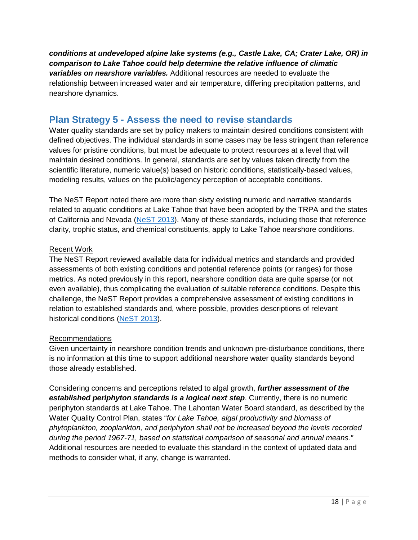*conditions at undeveloped alpine lake systems (e.g., Castle Lake, CA; Crater Lake, OR) in comparison to Lake Tahoe could help determine the relative influence of climatic variables on nearshore variables.* Additional resources are needed to evaluate the relationship between increased water and air temperature, differing precipitation patterns, and nearshore dynamics.

# <span id="page-17-0"></span>**Plan Strategy 5 - Assess the need to revise standards**

Water quality standards are set by policy makers to maintain desired conditions consistent with defined objectives. The individual standards in some cases may be less stringent than reference values for pristine conditions, but must be adequate to protect resources at a level that will maintain desired conditions. In general, standards are set by values taken directly from the scientific literature, numeric value(s) based on historic conditions, statistically-based values, modeling results, values on the public/agency perception of acceptable conditions.

The NeST Report noted there are more than sixty existing numeric and narrative standards related to aquatic conditions at Lake Tahoe that have been adopted by the TRPA and the states of California and Nevada [\(NeST 2013\)](http://www.dri.edu/images/stories/centers/cwes/Lake_Tahoe_Nearshore_Evaluation_and_Monitoring_Framework.pdf). Many of these standards, including those that reference clarity, trophic status, and chemical constituents, apply to Lake Tahoe nearshore conditions.

### Recent Work

The NeST Report reviewed available data for individual metrics and standards and provided assessments of both existing conditions and potential reference points (or ranges) for those metrics. As noted previously in this report, nearshore condition data are quite sparse (or not even available), thus complicating the evaluation of suitable reference conditions. Despite this challenge, the NeST Report provides a comprehensive assessment of existing conditions in relation to established standards and, where possible, provides descriptions of relevant historical conditions [\(NeST 2013\)](http://www.dri.edu/images/stories/centers/cwes/Lake_Tahoe_Nearshore_Evaluation_and_Monitoring_Framework.pdf).

# Recommendations

Given uncertainty in nearshore condition trends and unknown pre-disturbance conditions, there is no information at this time to support additional nearshore water quality standards beyond those already established.

Considering concerns and perceptions related to algal growth, *further assessment of the established periphyton standards is a logical next step*. Currently, there is no numeric periphyton standards at Lake Tahoe. The Lahontan Water Board standard, as described by the Water Quality Control Plan, states "*for Lake Tahoe, algal productivity and biomass of phytoplankton, zooplankton, and periphyton shall not be increased beyond the levels recorded during the period 1967-71, based on statistical comparison of seasonal and annual means."* Additional resources are needed to evaluate this standard in the context of updated data and methods to consider what, if any, change is warranted.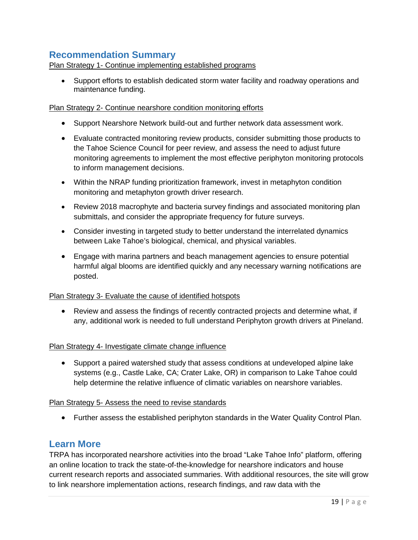# <span id="page-18-0"></span>**Recommendation Summary**

Plan Strategy 1- Continue implementing established programs

• Support efforts to establish dedicated storm water facility and roadway operations and maintenance funding.

#### Plan Strategy 2- Continue nearshore condition monitoring efforts

- Support Nearshore Network build-out and further network data assessment work.
- Evaluate contracted monitoring review products, consider submitting those products to the Tahoe Science Council for peer review, and assess the need to adjust future monitoring agreements to implement the most effective periphyton monitoring protocols to inform management decisions.
- Within the NRAP funding prioritization framework, invest in metaphyton condition monitoring and metaphyton growth driver research.
- Review 2018 macrophyte and bacteria survey findings and associated monitoring plan submittals, and consider the appropriate frequency for future surveys.
- Consider investing in targeted study to better understand the interrelated dynamics between Lake Tahoe's biological, chemical, and physical variables.
- Engage with marina partners and beach management agencies to ensure potential harmful algal blooms are identified quickly and any necessary warning notifications are posted.

#### Plan Strategy 3- Evaluate the cause of identified hotspots

• Review and assess the findings of recently contracted projects and determine what, if any, additional work is needed to full understand Periphyton growth drivers at Pineland.

#### Plan Strategy 4- Investigate climate change influence

• Support a paired watershed study that assess conditions at undeveloped alpine lake systems (e.g., Castle Lake, CA; Crater Lake, OR) in comparison to Lake Tahoe could help determine the relative influence of climatic variables on nearshore variables.

#### Plan Strategy 5- Assess the need to revise standards

• Further assess the established periphyton standards in the Water Quality Control Plan.

# <span id="page-18-1"></span>**Learn More**

TRPA has incorporated nearshore activities into the broad "Lake Tahoe Info" platform, offering an online location to track the state-of-the-knowledge for nearshore indicators and house current research reports and associated summaries. With additional resources, the site will grow to link nearshore implementation actions, research findings, and raw data with the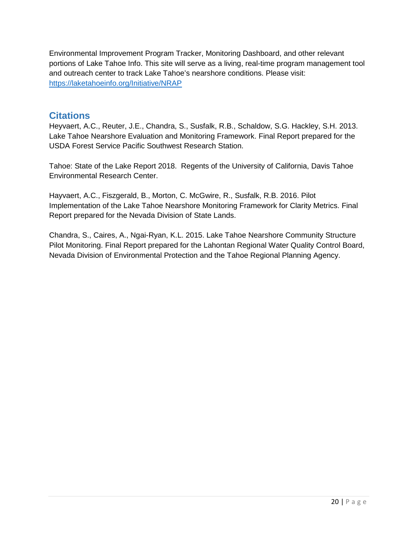Environmental Improvement Program Tracker, Monitoring Dashboard, and other relevant portions of Lake Tahoe Info. This site will serve as a living, real-time program management tool and outreach center to track Lake Tahoe's nearshore conditions. Please visit: <https://laketahoeinfo.org/Initiative/NRAP>

# <span id="page-19-0"></span>**Citations**

Heyvaert, A.C., Reuter, J.E., Chandra, S., Susfalk, R.B., Schaldow, S.G. Hackley, S.H. 2013. Lake Tahoe Nearshore Evaluation and Monitoring Framework. Final Report prepared for the USDA Forest Service Pacific Southwest Research Station.

Tahoe: State of the Lake Report 2018. Regents of the University of California, Davis Tahoe Environmental Research Center.

<span id="page-19-1"></span>Hayvaert, A.C., Fiszgerald, B., Morton, C. McGwire, R., Susfalk, R.B. 2016. Pilot Implementation of the Lake Tahoe Nearshore Monitoring Framework for Clarity Metrics. Final Report prepared for the Nevada Division of State Lands.

Chandra, S., Caires, A., Ngai-Ryan, K.L. 2015. Lake Tahoe Nearshore Community Structure Pilot Monitoring. Final Report prepared for the Lahontan Regional Water Quality Control Board, Nevada Division of Environmental Protection and the Tahoe Regional Planning Agency.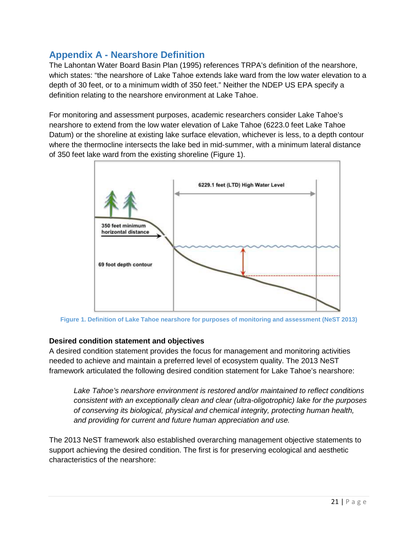# <span id="page-20-0"></span>**Appendix A - Nearshore Definition**

The Lahontan Water Board Basin Plan (1995) references TRPA's definition of the nearshore, which states: "the nearshore of Lake Tahoe extends lake ward from the low water elevation to a depth of 30 feet, or to a minimum width of 350 feet." Neither the NDEP US EPA specify a definition relating to the nearshore environment at Lake Tahoe.

For monitoring and assessment purposes, academic researchers consider Lake Tahoe's nearshore to extend from the low water elevation of Lake Tahoe (6223.0 feet Lake Tahoe Datum) or the shoreline at existing lake surface elevation, whichever is less, to a depth contour where the thermocline intersects the lake bed in mid-summer, with a minimum lateral distance of 350 feet lake ward from the existing shoreline (Figure 1).



**Figure 1. Definition of Lake Tahoe nearshore for purposes of monitoring and assessment (NeST 2013)**

# <span id="page-20-1"></span>**Desired condition statement and objectives**

A desired condition statement provides the focus for management and monitoring activities needed to achieve and maintain a preferred level of ecosystem quality. The 2013 NeST framework articulated the following desired condition statement for Lake Tahoe's nearshore:

*Lake Tahoe's nearshore environment is restored and/or maintained to reflect conditions consistent with an exceptionally clean and clear (ultra-oligotrophic) lake for the purposes of conserving its biological, physical and chemical integrity, protecting human health, and providing for current and future human appreciation and use.*

The 2013 NeST framework also established overarching management objective statements to support achieving the desired condition. The first is for preserving ecological and aesthetic characteristics of the nearshore: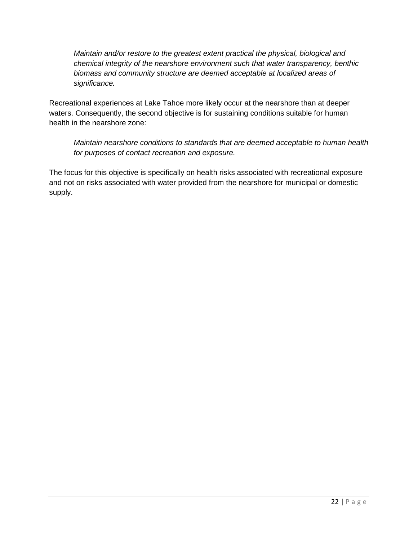*Maintain and/or restore to the greatest extent practical the physical, biological and chemical integrity of the nearshore environment such that water transparency, benthic biomass and community structure are deemed acceptable at localized areas of significance.*

Recreational experiences at Lake Tahoe more likely occur at the nearshore than at deeper waters. Consequently, the second objective is for sustaining conditions suitable for human health in the nearshore zone:

*Maintain nearshore conditions to standards that are deemed acceptable to human health for purposes of contact recreation and exposure.*

<span id="page-21-0"></span>The focus for this objective is specifically on health risks associated with recreational exposure and not on risks associated with water provided from the nearshore for municipal or domestic supply.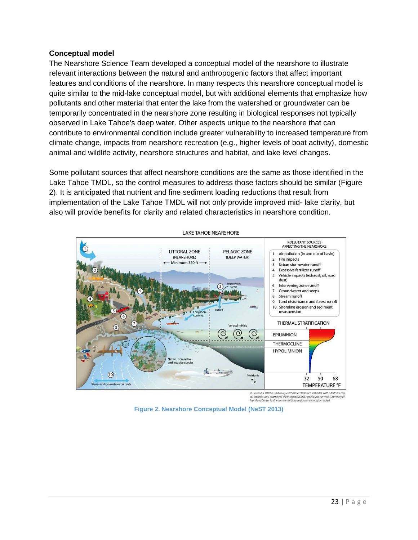#### <span id="page-22-0"></span>**Conceptual model**

The Nearshore Science Team developed a conceptual model of the nearshore to illustrate relevant interactions between the natural and anthropogenic factors that affect important features and conditions of the nearshore. In many respects this nearshore conceptual model is quite similar to the mid-lake conceptual model, but with additional elements that emphasize how pollutants and other material that enter the lake from the watershed or groundwater can be temporarily concentrated in the nearshore zone resulting in biological responses not typically observed in Lake Tahoe's deep water. Other aspects unique to the nearshore that can contribute to environmental condition include greater vulnerability to increased temperature from climate change, impacts from nearshore recreation (e.g., higher levels of boat activity), domestic animal and wildlife activity, nearshore structures and habitat, and lake level changes.

Some pollutant sources that affect nearshore conditions are the same as those identified in the Lake Tahoe TMDL, so the control measures to address those factors should be similar (Figure 2). It is anticipated that nutrient and fine sediment loading reductions that result from implementation of the Lake Tahoe TMDL will not only provide improved mid- lake clarity, but also will provide benefits for clarity and related characteristics in nearshore condition.



lllustration, LJ Wable and A Heyvaert (Desert Research Institute), with additional clip<br>art contributions courtesy of the integration and Application Network, University of<br>Maryland Center for Environmental Science (ian.um

**Figure 2. Nearshore Conceptual Model (NeST 2013)**